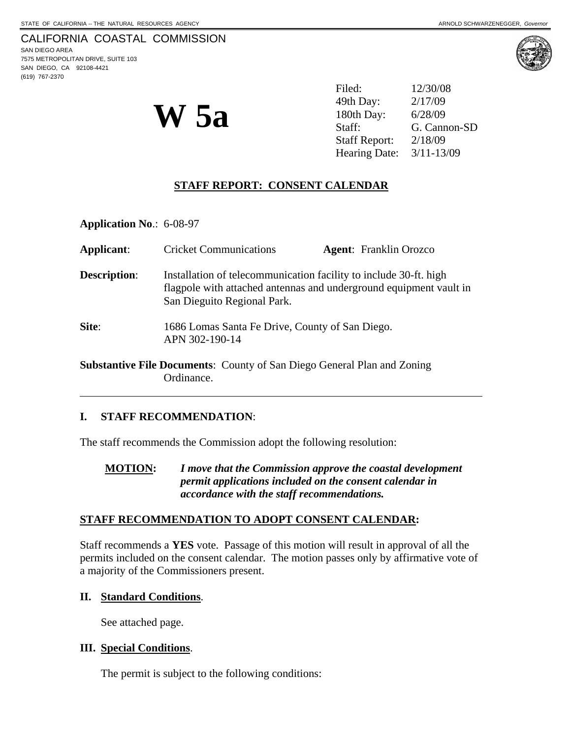(619) 767-2370





| <b>W</b> 5a | Filed:                   | 12/30/08     |
|-------------|--------------------------|--------------|
|             | 49th Day:                | 2/17/09      |
|             | 180th Day:               | 6/28/09      |
|             | Staff:                   | G. Cannon-SD |
|             | <b>Staff Report:</b>     | 2/18/09      |
|             | Hearing Date: 3/11-13/09 |              |

## **STAFF REPORT: CONSENT CALENDAR**

**Application No**.: 6-08-97

| Applicant:          | <b>Cricket Communications</b>                                                                                                                                          | <b>Agent:</b> Franklin Orozco |  |
|---------------------|------------------------------------------------------------------------------------------------------------------------------------------------------------------------|-------------------------------|--|
| <b>Description:</b> | Installation of telecommunication facility to include 30-ft. high<br>flagpole with attached antennas and underground equipment vault in<br>San Dieguito Regional Park. |                               |  |
| Site:               | 1686 Lomas Santa Fe Drive, County of San Diego.<br>APN 302-190-14                                                                                                      |                               |  |
|                     | <b>Substantive File Documents:</b> County of San Diego General Plan and Zoning                                                                                         |                               |  |

# Ordinance.

l

### **I. STAFF RECOMMENDATION**:

The staff recommends the Commission adopt the following resolution:

**MOTION:** *I move that the Commission approve the coastal development permit applications included on the consent calendar in accordance with the staff recommendations.* 

### **STAFF RECOMMENDATION TO ADOPT CONSENT CALENDAR:**

Staff recommends a **YES** vote. Passage of this motion will result in approval of all the permits included on the consent calendar. The motion passes only by affirmative vote of a majority of the Commissioners present.

### **II. Standard Conditions**.

See attached page.

#### **III. Special Conditions**.

The permit is subject to the following conditions: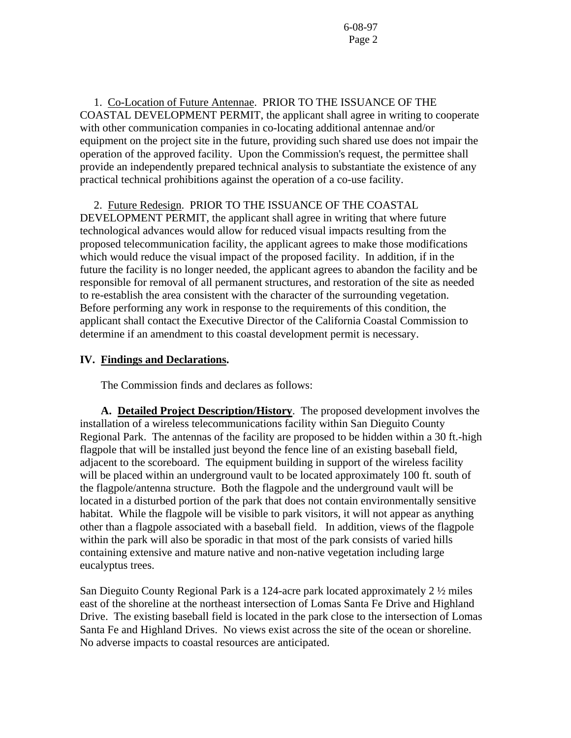1. Co-Location of Future Antennae. PRIOR TO THE ISSUANCE OF THE COASTAL DEVELOPMENT PERMIT, the applicant shall agree in writing to cooperate with other communication companies in co-locating additional antennae and/or equipment on the project site in the future, providing such shared use does not impair the operation of the approved facility. Upon the Commission's request, the permittee shall provide an independently prepared technical analysis to substantiate the existence of any practical technical prohibitions against the operation of a co-use facility.

2. Future Redesign. PRIOR TO THE ISSUANCE OF THE COASTAL

DEVELOPMENT PERMIT, the applicant shall agree in writing that where future technological advances would allow for reduced visual impacts resulting from the proposed telecommunication facility, the applicant agrees to make those modifications which would reduce the visual impact of the proposed facility. In addition, if in the future the facility is no longer needed, the applicant agrees to abandon the facility and be responsible for removal of all permanent structures, and restoration of the site as needed to re-establish the area consistent with the character of the surrounding vegetation. Before performing any work in response to the requirements of this condition, the applicant shall contact the Executive Director of the California Coastal Commission to determine if an amendment to this coastal development permit is necessary.

#### **IV. Findings and Declarations.**

The Commission finds and declares as follows:

**A. Detailed Project Description/History**. The proposed development involves the installation of a wireless telecommunications facility within San Dieguito County Regional Park. The antennas of the facility are proposed to be hidden within a 30 ft.-high flagpole that will be installed just beyond the fence line of an existing baseball field, adjacent to the scoreboard. The equipment building in support of the wireless facility will be placed within an underground vault to be located approximately 100 ft. south of the flagpole/antenna structure. Both the flagpole and the underground vault will be located in a disturbed portion of the park that does not contain environmentally sensitive habitat. While the flagpole will be visible to park visitors, it will not appear as anything other than a flagpole associated with a baseball field. In addition, views of the flagpole within the park will also be sporadic in that most of the park consists of varied hills containing extensive and mature native and non-native vegetation including large eucalyptus trees.

San Dieguito County Regional Park is a 124-acre park located approximately 2 ½ miles east of the shoreline at the northeast intersection of Lomas Santa Fe Drive and Highland Drive. The existing baseball field is located in the park close to the intersection of Lomas Santa Fe and Highland Drives. No views exist across the site of the ocean or shoreline. No adverse impacts to coastal resources are anticipated.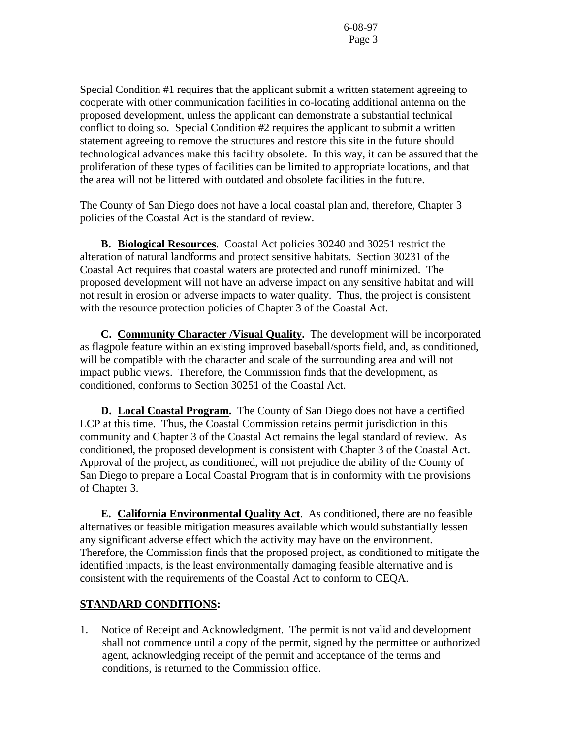Special Condition #1 requires that the applicant submit a written statement agreeing to cooperate with other communication facilities in co-locating additional antenna on the proposed development, unless the applicant can demonstrate a substantial technical conflict to doing so. Special Condition #2 requires the applicant to submit a written statement agreeing to remove the structures and restore this site in the future should technological advances make this facility obsolete. In this way, it can be assured that the proliferation of these types of facilities can be limited to appropriate locations, and that the area will not be littered with outdated and obsolete facilities in the future.

The County of San Diego does not have a local coastal plan and, therefore, Chapter 3 policies of the Coastal Act is the standard of review.

 **B. Biological Resources**. Coastal Act policies 30240 and 30251 restrict the alteration of natural landforms and protect sensitive habitats. Section 30231 of the Coastal Act requires that coastal waters are protected and runoff minimized. The proposed development will not have an adverse impact on any sensitive habitat and will not result in erosion or adverse impacts to water quality. Thus, the project is consistent with the resource protection policies of Chapter 3 of the Coastal Act.

 **C. Community Character /Visual Quality.** The development will be incorporated as flagpole feature within an existing improved baseball/sports field, and, as conditioned, will be compatible with the character and scale of the surrounding area and will not impact public views. Therefore, the Commission finds that the development, as conditioned, conforms to Section 30251 of the Coastal Act.

**D. Local Coastal Program.** The County of San Diego does not have a certified LCP at this time. Thus, the Coastal Commission retains permit jurisdiction in this community and Chapter 3 of the Coastal Act remains the legal standard of review. As conditioned, the proposed development is consistent with Chapter 3 of the Coastal Act. Approval of the project, as conditioned, will not prejudice the ability of the County of San Diego to prepare a Local Coastal Program that is in conformity with the provisions of Chapter 3.

 **E. California Environmental Quality Act**. As conditioned, there are no feasible alternatives or feasible mitigation measures available which would substantially lessen any significant adverse effect which the activity may have on the environment. Therefore, the Commission finds that the proposed project, as conditioned to mitigate the identified impacts, is the least environmentally damaging feasible alternative and is consistent with the requirements of the Coastal Act to conform to CEQA.

## **STANDARD CONDITIONS:**

1. Notice of Receipt and Acknowledgment. The permit is not valid and development shall not commence until a copy of the permit, signed by the permittee or authorized agent, acknowledging receipt of the permit and acceptance of the terms and conditions, is returned to the Commission office.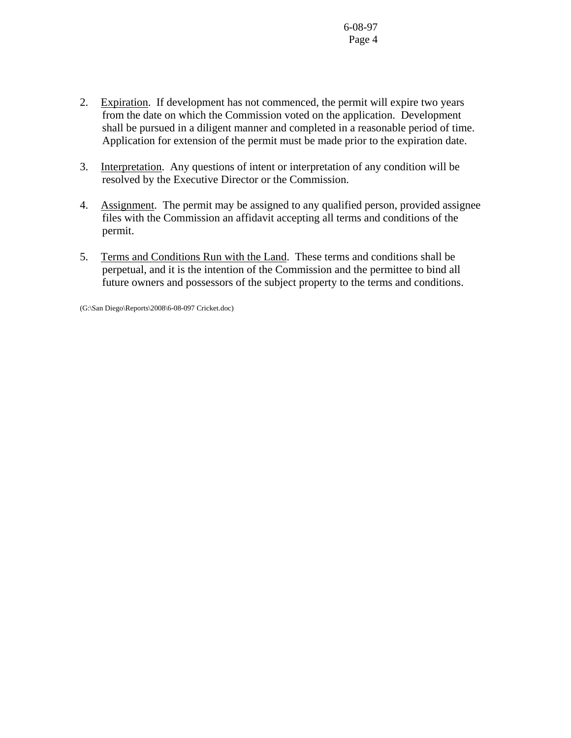- 2. Expiration. If development has not commenced, the permit will expire two years from the date on which the Commission voted on the application. Development shall be pursued in a diligent manner and completed in a reasonable period of time. Application for extension of the permit must be made prior to the expiration date.
- 3. Interpretation. Any questions of intent or interpretation of any condition will be resolved by the Executive Director or the Commission.
- 4. Assignment. The permit may be assigned to any qualified person, provided assignee files with the Commission an affidavit accepting all terms and conditions of the permit.
- 5. Terms and Conditions Run with the Land. These terms and conditions shall be perpetual, and it is the intention of the Commission and the permittee to bind all future owners and possessors of the subject property to the terms and conditions.

(G:\San Diego\Reports\2008\6-08-097 Cricket.doc)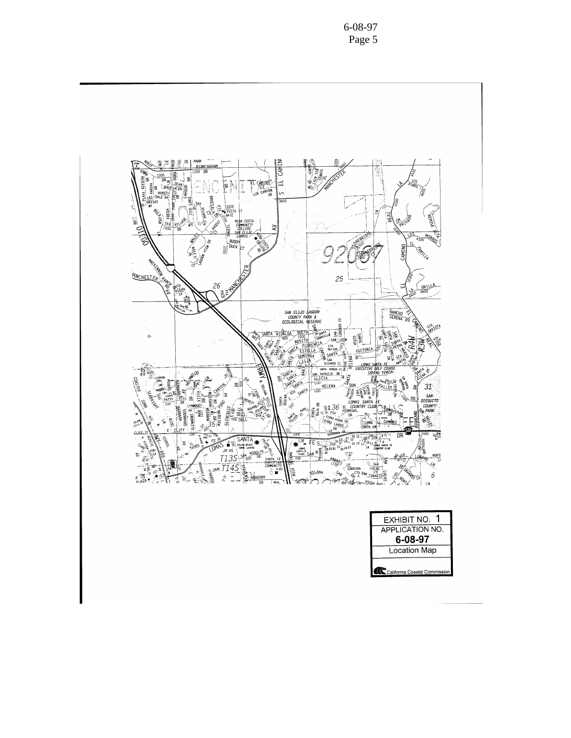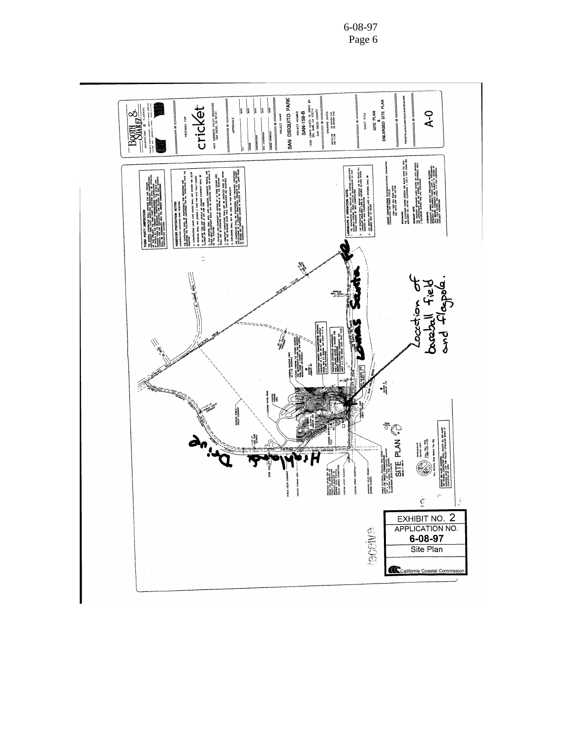